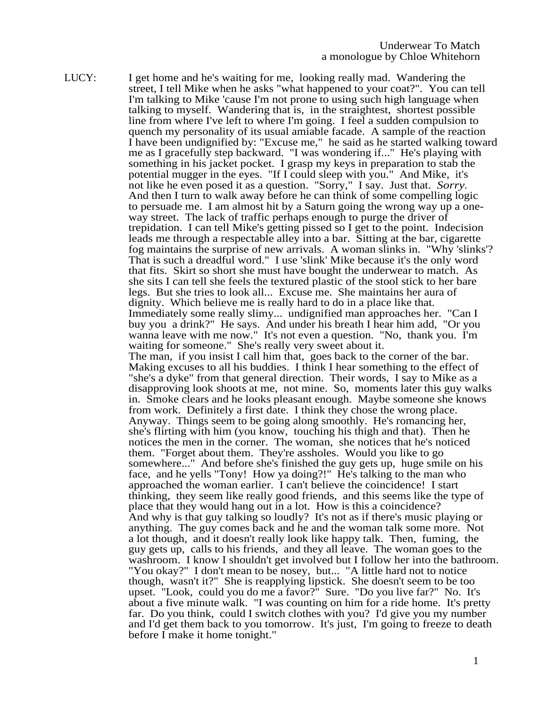LUCY: I get home and he's waiting for me, looking really mad. Wandering the street, I tell Mike when he asks "what happened to your coat?". You can tell I'm talking to Mike 'cause I'm not prone to using such high language when talking to myself. Wandering that is, in the straightest, shortest possible line from where I've left to where I'm going. I feel a sudden compulsion to quench my personality of its usual amiable facade. A sample of the reaction I have been undignified by: "Excuse me," he said as he started walking toward me as I gracefully step backward. "I was wondering if..." He's playing with something in his jacket pocket. I grasp my keys in preparation to stab the potential mugger in the eyes. "If I could sleep with you." And Mike, it's not like he even posed it as a question. "Sorry," I say. Just that. *Sorry*. And then I turn to walk away before he can think of some compelling logic to persuade me. I am almost hit by a Saturn going the wrong way up a oneway street. The lack of traffic perhaps enough to purge the driver of trepidation. I can tell Mike's getting pissed so I get to the point. Indecision leads me through a respectable alley into a bar. Sitting at the bar, cigarette fog maintains the surprise of new arrivals. A woman slinks in. "Why 'slinks'? That is such a dreadful word." I use 'slink' Mike because it's the only word that fits. Skirt so short she must have bought the underwear to match. As she sits I can tell she feels the textured plastic of the stool stick to her bare legs. But she tries to look all... Excuse me. She maintains her aura of dignity. Which believe me is really hard to do in a place like that. Immediately some really slimy... undignified man approaches her. "Can I buy you a drink?" He says. And under his breath I hear him add, "Or you wanna leave with me now." It's not even a question. "No, thank you. I'm waiting for someone." She's really very sweet about it. The man, if you insist I call him that, goes back to the corner of the bar. Making excuses to all his buddies. I think I hear something to the effect of "she's a dyke" from that general direction. Their words, I say to Mike as a disapproving look shoots at me, not mine. So, moments later this guy walks in. Smoke clears and he looks pleasant enough. Maybe someone she knows from work. Definitely a first date. I think they chose the wrong place. Anyway. Things seem to be going along smoothly. He's romancing her, she's flirting with him (you know, touching his thigh and that). Then he notices the men in the corner. The woman, she notices that he's noticed them. "Forget about them. They're assholes. Would you like to go somewhere..." And before she's finished the guy gets up, huge smile on his face, and he yells "Tony! How ya doing?!" He's talking to the man who approached the woman earlier. I can't believe the coincidence! I start thinking, they seem like really good friends, and this seems like the type of place that they would hang out in a lot. How is this a coincidence? And why is that guy talking so loudly? It's not as if there's music playing or anything. The guy comes back and he and the woman talk some more. Not a lot though, and it doesn't really look like happy talk. Then, fuming, the guy gets up, calls to his friends, and they all leave. The woman goes to the washroom. I know I shouldn't get involved but I follow her into the bathroom. "You okay?" I don't mean to be nosey, but... "A little hard not to notice though, wasn't it?" She is reapplying lipstick. She doesn't seem to be too upset. "Look, could you do me a favor?" Sure. "Do you live far?" No. It's about a five minute walk. "I was counting on him for a ride home. It's pretty far. Do you think, could I switch clothes with you? I'd give you my number and I'd get them back to you tomorrow. It's just, I'm going to freeze to death before I make it home tonight."